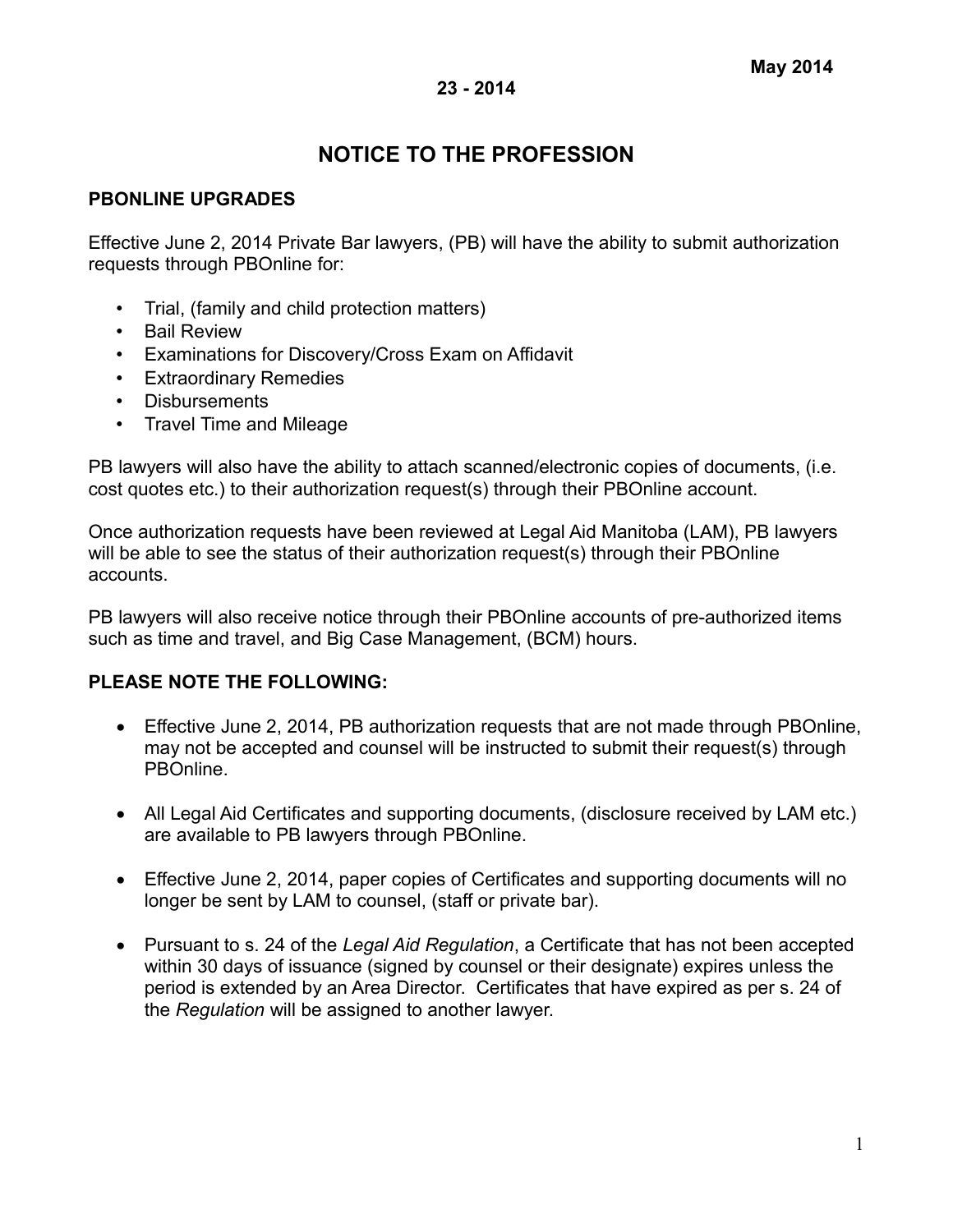# **NOTICE TO THE PROFESSION**

# **PBONLINE UPGRADES**

Effective June 2, 2014 Private Bar lawyers, (PB) will have the ability to submit authorization requests through PBOnline for:

- Trial, (family and child protection matters)
- Bail Review
- Examinations for Discovery/Cross Exam on Affidavit
- Extraordinary Remedies
- Disbursements
- Travel Time and Mileage

PB lawyers will also have the ability to attach scanned/electronic copies of documents, (i.e. cost quotes etc.) to their authorization request(s) through their PBOnline account.

Once authorization requests have been reviewed at Legal Aid Manitoba (LAM), PB lawyers will be able to see the status of their authorization request(s) through their PBOnline accounts.

PB lawyers will also receive notice through their PBOnline accounts of pre-authorized items such as time and travel, and Big Case Management, (BCM) hours.

## **PLEASE NOTE THE FOLLOWING:**

- Effective June 2, 2014, PB authorization requests that are not made through PBOnline, may not be accepted and counsel will be instructed to submit their request(s) through PBOnline.
- All Legal Aid Certificates and supporting documents, (disclosure received by LAM etc.) are available to PB lawyers through PBOnline.
- Effective June 2, 2014, paper copies of Certificates and supporting documents will no longer be sent by LAM to counsel, (staff or private bar).
- Pursuant to s. 24 of the *Legal Aid Regulation*, a Certificate that has not been accepted within 30 days of issuance (signed by counsel or their designate) expires unless the period is extended by an Area Director. Certificates that have expired as per s. 24 of the *Regulation* will be assigned to another lawyer.